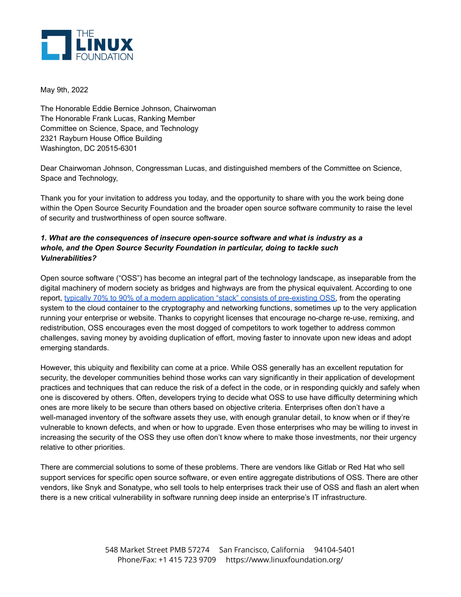

May 9th, 2022

The Honorable Eddie Bernice Johnson, Chairwoman The Honorable Frank Lucas, Ranking Member Committee on Science, Space, and Technology 2321 Rayburn House Office Building Washington, DC 20515-6301

Dear Chairwoman Johnson, Congressman Lucas, and distinguished members of the Committee on Science, Space and Technology,

Thank you for your invitation to address you today, and the opportunity to share with you the work being done within the Open Source Security Foundation and the broader open source software community to raise the level of security and trustworthiness of open source software.

## *1. What are the consequences of insecure open-source software and what is industry as a whole, and the Open Source Security Foundation in particular, doing to tackle such Vulnerabilities?*

Open source software ("OSS") has become an integral part of the technology landscape, as inseparable from the digital machinery of modern society as bridges and highways are from the physical equivalent. According to one report, typically 70% to 90% of a modern application "stack" consists of [pre-existing](https://www.sonatype.com/resources/white-paper-state-of-the-software-supply-chain-2020) OSS, from the operating system to the cloud container to the cryptography and networking functions, sometimes up to the very application running your enterprise or website. Thanks to copyright licenses that encourage no-charge re-use, remixing, and redistribution, OSS encourages even the most dogged of competitors to work together to address common challenges, saving money by avoiding duplication of effort, moving faster to innovate upon new ideas and adopt emerging standards.

However, this ubiquity and flexibility can come at a price. While OSS generally has an excellent reputation for security, the developer communities behind those works can vary significantly in their application of development practices and techniques that can reduce the risk of a defect in the code, or in responding quickly and safely when one is discovered by others. Often, developers trying to decide what OSS to use have difficulty determining which ones are more likely to be secure than others based on objective criteria. Enterprises often don't have a well-managed inventory of the software assets they use, with enough granular detail, to know when or if they're vulnerable to known defects, and when or how to upgrade. Even those enterprises who may be willing to invest in increasing the security of the OSS they use often don't know where to make those investments, nor their urgency relative to other priorities.

There are commercial solutions to some of these problems. There are vendors like Gitlab or Red Hat who sell support services for specific open source software, or even entire aggregate distributions of OSS. There are other vendors, like Snyk and Sonatype, who sell tools to help enterprises track their use of OSS and flash an alert when there is a new critical vulnerability in software running deep inside an enterprise's IT infrastructure.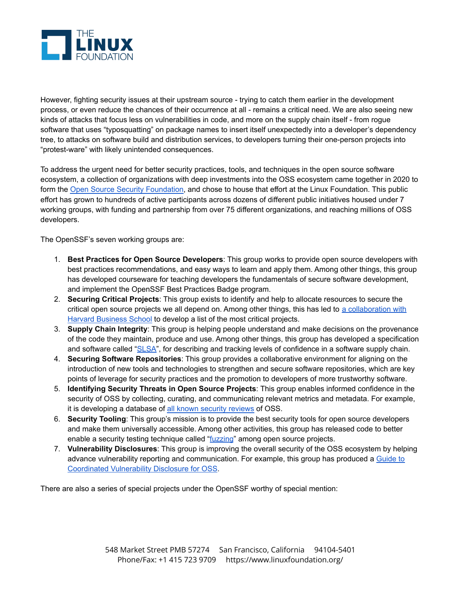

However, fighting security issues at their upstream source - trying to catch them earlier in the development process, or even reduce the chances of their occurrence at all - remains a critical need. We are also seeing new kinds of attacks that focus less on vulnerabilities in code, and more on the supply chain itself - from rogue software that uses "typosquatting" on package names to insert itself unexpectedly into a developer's dependency tree, to attacks on software build and distribution services, to developers turning their one-person projects into "protest-ware" with likely unintended consequences.

To address the urgent need for better security practices, tools, and techniques in the open source software ecosystem, a collection of organizations with deep investments into the OSS ecosystem came together in 2020 to form the Open Source Security [Foundation,](https://openssf.org/) and chose to house that effort at the Linux Foundation. This public effort has grown to hundreds of active participants across dozens of different public initiatives housed under 7 working groups, with funding and partnership from over 75 different organizations, and reaching millions of OSS developers.

The OpenSSF's seven working groups are:

- 1. **Best Practices for Open Source Developers**: This group works to provide open source developers with best practices recommendations, and easy ways to learn and apply them. Among other things, this group has developed courseware for teaching developers the fundamentals of secure software development, and implement the OpenSSF Best Practices Badge program.
- 2. **Securing Critical Projects**: This group exists to identify and help to allocate resources to secure the critical open source projects we all depend on. Among other things, this has led to a [collaboration](https://www.linuxfoundation.org/tools/census-ii-of-free-and-open-source-software-application-libraries/) with Harvard [Business](https://www.linuxfoundation.org/tools/census-ii-of-free-and-open-source-software-application-libraries/) School to develop a list of the most critical projects.
- 3. **Supply Chain Integrity**: This group is helping people understand and make decisions on the provenance of the code they maintain, produce and use. Among other things, this group has developed a specification and software called ["SLSA"](http://slsa.dev/), for describing and tracking levels of confidence in a software supply chain.
- 4. **Securing Software Repositories**: This group provides a collaborative environment for aligning on the introduction of new tools and technologies to strengthen and secure software repositories, which are key points of leverage for security practices and the promotion to developers of more trustworthy software.
- 5. **Identifying Security Threats in Open Source Projects**: This group enables informed confidence in the security of OSS by collecting, curating, and communicating relevant metrics and metadata. For example, it is developing a database of all known [security](https://github.com/ossf/security-reviews) reviews of OSS.
- 6. **Security Tooling**: This group's mission is to provide the best security tools for open source developers and make them universally accessible. Among other activities, this group has released code to better enable a security testing technique called "[fuzzing](https://github.com/ossf/fuzz-introspector/)" among open source projects.
- 7. **Vulnerability Disclosures**: This group is improving the overall security of the OSS ecosystem by helping advance vulnerability reporting and communication. For example, this group has produced a [Guide](https://github.com/ossf/oss-vulnerability-guide) to [Coordinated](https://github.com/ossf/oss-vulnerability-guide) Vulnerability Disclosure for OSS.

There are also a series of special projects under the OpenSSF worthy of special mention: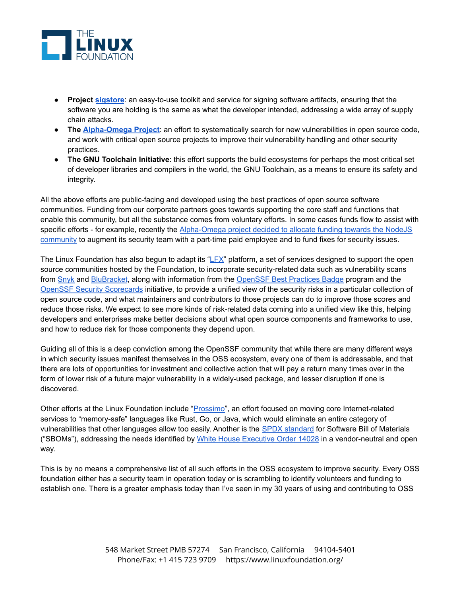

- **Project [sigstore](https://www.sigstore.dev/)**: an easy-to-use toolkit and service for signing software artifacts, ensuring that the software you are holding is the same as what the developer intended, addressing a wide array of supply chain attacks.
- **The [Alpha-Omega](https://openssf.org/community/alpha-omega/) Project**: an effort to systematically search for new vulnerabilities in open source code, and work with critical open source projects to improve their vulnerability handling and other security practices.
- **The GNU Toolchain Initiative**: this effort supports the build ecosystems for perhaps the most critical set of developer libraries and compilers in the world, the GNU Toolchain, as a means to ensure its safety and integrity.

All the above efforts are public-facing and developed using the best practices of open source software communities. Funding from our corporate partners goes towards supporting the core staff and functions that enable this community, but all the substance comes from voluntary efforts. In some cases funds flow to assist with specific efforts - for example, recently the [Alpha-Omega](https://openssf.org/blog/2022/04/18/openssf-selects-node-js-as-initial-project-to-improve-supply-chain-security/) project decided to allocate funding towards the NodeJS [community](https://openssf.org/blog/2022/04/18/openssf-selects-node-js-as-initial-project-to-improve-supply-chain-security/) to augment its security team with a part-time paid employee and to fund fixes for security issues.

The Linux Foundation has also begun to adapt its " $E^{\prime}$ " platform, a set of services designed to support the open source communities hosted by the Foundation, to incorporate security-related data such as vulnerability scans from [Snyk](https://snyk.io/) and [BluBracket](https://blubracket.com/), along with information from the [OpenSSF](https://bestpractices.coreinfrastructure.org/en) Best Practices Badge program and the OpenSSF Security [Scorecards](https://openssf.org/blog/2020/11/06/security-scorecards-for-open-source-projects/) initiative, to provide a unified view of the security risks in a particular collection of open source code, and what maintainers and contributors to those projects can do to improve those scores and reduce those risks. We expect to see more kinds of risk-related data coming into a unified view like this, helping developers and enterprises make better decisions about what open source components and frameworks to use, and how to reduce risk for those components they depend upon.

Guiding all of this is a deep conviction among the OpenSSF community that while there are many different ways in which security issues manifest themselves in the OSS ecosystem, every one of them is addressable, and that there are lots of opportunities for investment and collective action that will pay a return many times over in the form of lower risk of a future major vulnerability in a widely-used package, and lesser disruption if one is discovered.

Other efforts at the Linux Foundation include ["Prossimo"](https://www.memorysafety.org/), an effort focused on moving core Internet-related services to "memory-safe" languages like Rust, Go, or Java, which would eliminate an entire category of vulnerabilities that other languages allow too easily. Another is the **SPDX** [standard](https://spdx.dev/) for Software Bill of Materials ("SBOMs"), addressing the needs identified by White House [Executive](https://www.whitehouse.gov/briefing-room/presidential-actions/2021/05/12/executive-order-on-improving-the-nations-cybersecurity/) Order 14028 in a vendor-neutral and open way.

This is by no means a comprehensive list of all such efforts in the OSS ecosystem to improve security. Every OSS foundation either has a security team in operation today or is scrambling to identify volunteers and funding to establish one. There is a greater emphasis today than I've seen in my 30 years of using and contributing to OSS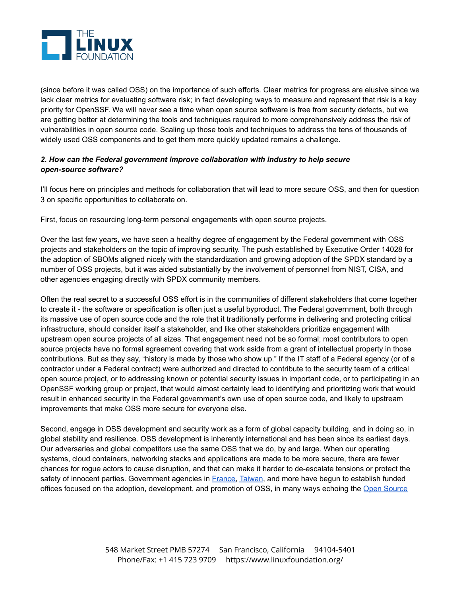

(since before it was called OSS) on the importance of such efforts. Clear metrics for progress are elusive since we lack clear metrics for evaluating software risk; in fact developing ways to measure and represent that risk is a key priority for OpenSSF. We will never see a time when open source software is free from security defects, but we are getting better at determining the tools and techniques required to more comprehensively address the risk of vulnerabilities in open source code. Scaling up those tools and techniques to address the tens of thousands of widely used OSS components and to get them more quickly updated remains a challenge.

## *2. How can the Federal government improve collaboration with industry to help secure open-source software?*

I'll focus here on principles and methods for collaboration that will lead to more secure OSS, and then for question 3 on specific opportunities to collaborate on.

First, focus on resourcing long-term personal engagements with open source projects.

Over the last few years, we have seen a healthy degree of engagement by the Federal government with OSS projects and stakeholders on the topic of improving security. The push established by Executive Order 14028 for the adoption of SBOMs aligned nicely with the standardization and growing adoption of the SPDX standard by a number of OSS projects, but it was aided substantially by the involvement of personnel from NIST, CISA, and other agencies engaging directly with SPDX community members.

Often the real secret to a successful OSS effort is in the communities of different stakeholders that come together to create it - the software or specification is often just a useful byproduct. The Federal government, both through its massive use of open source code and the role that it traditionally performs in delivering and protecting critical infrastructure, should consider itself a stakeholder, and like other stakeholders prioritize engagement with upstream open source projects of all sizes. That engagement need not be so formal; most contributors to open source projects have no formal agreement covering that work aside from a grant of intellectual property in those contributions. But as they say, "history is made by those who show up." If the IT staff of a Federal agency (or of a contractor under a Federal contract) were authorized and directed to contribute to the security team of a critical open source project, or to addressing known or potential security issues in important code, or to participating in an OpenSSF working group or project, that would almost certainly lead to identifying and prioritizing work that would result in enhanced security in the Federal government's own use of open source code, and likely to upstream improvements that make OSS more secure for everyone else.

Second, engage in OSS development and security work as a form of global capacity building, and in doing so, in global stability and resilience. OSS development is inherently international and has been since its earliest days. Our adversaries and global competitors use the same OSS that we do, by and large. When our operating systems, cloud containers, networking stacks and applications are made to be more secure, there are fewer chances for rogue actors to cause disruption, and that can make it harder to de-escalate tensions or protect the safety of innocent parties. Government agencies in [France,](https://joinup.ec.europa.eu/collection/open-source-observatory-osor/news/open-source-software-supported-french-open-science-policy) [Taiwan](https://increment.com/containers/containerization-case-study/), and more have begun to establish funded offices focused on the adoption, development, and promotion of OSS, in many ways echoing the Open [Source](https://todogroup.org/)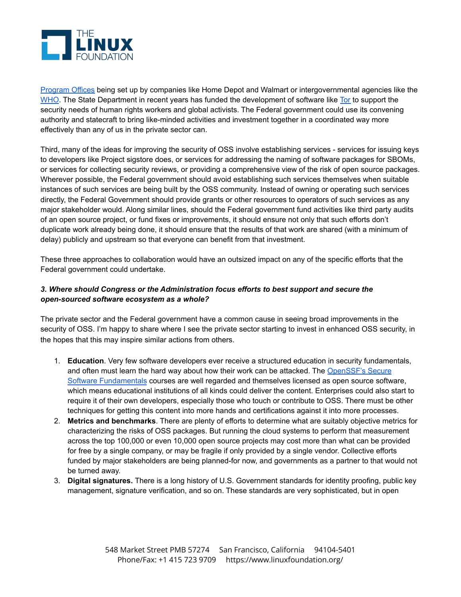

[Program](https://todogroup.org/) Offices being set up by companies like Home Depot and Walmart or intergovernmental agencies like the [WHO](https://joinup.ec.europa.eu/collection/open-source-observatory-osor/news/who-builds-ospo). The State Department in recent years has funded the development of software like [Tor](https://www.torproject.org/about/sponsors/) to support the security needs of human rights workers and global activists. The Federal government could use its convening authority and statecraft to bring like-minded activities and investment together in a coordinated way more effectively than any of us in the private sector can.

Third, many of the ideas for improving the security of OSS involve establishing services - services for issuing keys to developers like Project sigstore does, or services for addressing the naming of software packages for SBOMs, or services for collecting security reviews, or providing a comprehensive view of the risk of open source packages. Wherever possible, the Federal government should avoid establishing such services themselves when suitable instances of such services are being built by the OSS community. Instead of owning or operating such services directly, the Federal Government should provide grants or other resources to operators of such services as any major stakeholder would. Along similar lines, should the Federal government fund activities like third party audits of an open source project, or fund fixes or improvements, it should ensure not only that such efforts don't duplicate work already being done, it should ensure that the results of that work are shared (with a minimum of delay) publicly and upstream so that everyone can benefit from that investment.

These three approaches to collaboration would have an outsized impact on any of the specific efforts that the Federal government could undertake.

## *3. Where should Congress or the Administration focus efforts to best support and secure the open-sourced software ecosystem as a whole?*

The private sector and the Federal government have a common cause in seeing broad improvements in the security of OSS. I'm happy to share where I see the private sector starting to invest in enhanced OSS security, in the hopes that this may inspire similar actions from others.

- 1. **Education**. Very few software developers ever receive a structured education in security fundamentals, and often must learn the hard way about how their work can be attacked. The [OpenSSF's](https://openssf.org/training/courses/) Secure Software [Fundamentals](https://openssf.org/training/courses/) courses are well regarded and themselves licensed as open source software, which means educational institutions of all kinds could deliver the content. Enterprises could also start to require it of their own developers, especially those who touch or contribute to OSS. There must be other techniques for getting this content into more hands and certifications against it into more processes.
- 2. **Metrics and benchmarks**. There are plenty of efforts to determine what are suitably objective metrics for characterizing the risks of OSS packages. But running the cloud systems to perform that measurement across the top 100,000 or even 10,000 open source projects may cost more than what can be provided for free by a single company, or may be fragile if only provided by a single vendor. Collective efforts funded by major stakeholders are being planned-for now, and governments as a partner to that would not be turned away.
- 3. **Digital signatures.** There is a long history of U.S. Government standards for identity proofing, public key management, signature verification, and so on. These standards are very sophisticated, but in open